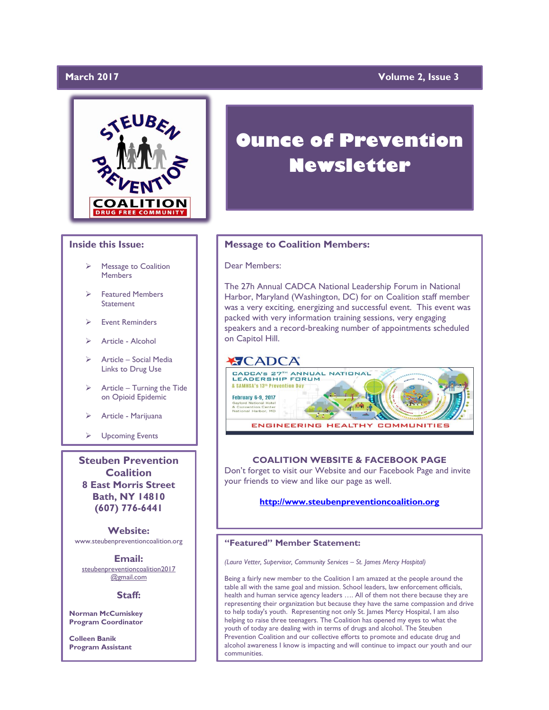# **March 2017**

# **Wolume 2, Issue 3**



# **Inside this Issue:**

- Message to Coalition **Members**
- Featured Members **Statement**
- Event Reminders
- $\triangleright$  Article Alcohol
- Article Social Media Links to Drug Use
- $\triangleright$  Article Turning the Tide on Opioid Epidemic
- Article Marijuana
- > Upcoming Events

**Steuben Prevention Coalition 8 East Morris Street Bath, NY 14810 (607) 776-6441**

**Website:**  www.steubenpreventioncoalition.org

**Email:** 

steubenpreventioncoalition2017 @gmail.com

## **Staff:**

**Norman McCumiskey Program Coordinator**

**Colleen Banik Program Assistant**

# **Ounce of Prevention Newsletter**

# **Message to Coalition Members:**

Dear Members:

The 27h Annual CADCA National Leadership Forum in National Harbor, Maryland (Washington, DC) for on Coalition staff member was a very exciting, energizing and successful event. This event was packed with very information training sessions, very engaging speakers and a record-breaking number of appointments scheduled on Capitol Hill.

# **XICADCA**



# **COALITION WEBSITE & FACEBOOK PAGE**

Don't forget to visit our Website and our Facebook Page and invite your friends to view and like our page as well.

# **[http://www.steubenpreventioncoalition.org](http://www.steubenpreventioncoalition.org/)**

# **"Featured" Member Statement:**

*(Laura Vetter, Supervisor, Community Services – St. James Mercy Hospital)*

Being a fairly new member to the Coalition I am amazed at the people around the table all with the same goal and mission. School leaders, law enforcement officials, health and human service agency leaders …. All of them not there because they are representing their organization but because they have the same compassion and drive to help today's youth. Representing not only St. James Mercy Hospital, I am also helping to raise three teenagers. The Coalition has opened my eyes to what the youth of today are dealing with in terms of drugs and alcohol. The Steuben Prevention Coalition and our collective efforts to promote and educate drug and alcohol awareness I know is impacting and will continue to impact our youth and our communities.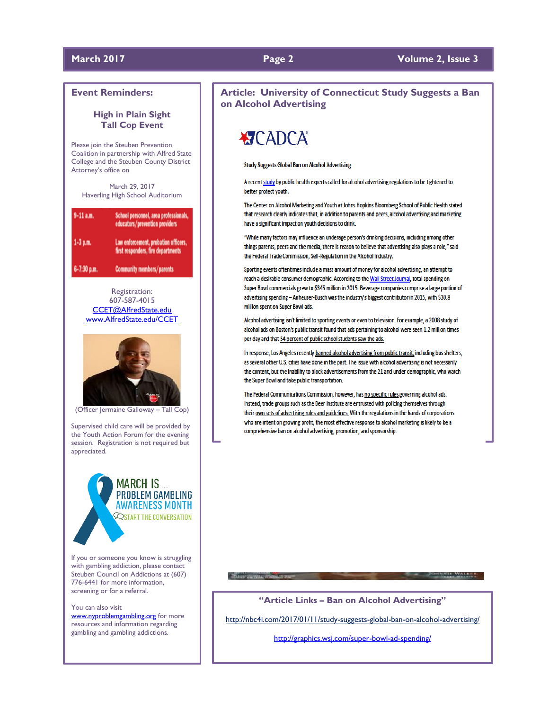# **March 2017 Page 2 Volume 2, Issue 3**

# **Event Reminders:**

# **High in Plain Sight Tall Cop Event**

Please join the Steuben Prevention Coalition in partnership with Alfred State College and the Steuben County District Attorney's office on

March 29, 2017 Haverling High School Auditorium

| $9-11$ a.m. | School personnel, area professionals,<br>educators/prevention providers    |
|-------------|----------------------------------------------------------------------------|
| 1-3 p.m.    | Law enforcement, probation officers,<br>first responders, fire departments |
| 6-7:30 p.m. | <b>Community members/parents</b>                                           |

Registration: 607-587-4015 [CCET@AlfredState.edu](mailto:CCET@AlfredState.edu) [www.AlfredState.edu/CCET](http://www.alfredstate.edu/CCET)



(Officer Jermaine Galloway – Tall Cop)

Supervised child care will be provided by the Youth Action Forum for the evening session. Registration is not required but appreciated.

> **MARCH IS... PROBLEM GAMBLING AWARENESS MONTH SIGNAL THE CONVERSATION**

If you or someone you know is struggling with gambling addiction, please contact Steuben Council on Addictions at (607) 776-6441 for more information, screening or for a referral.

You can also visit [www.nyproblemgambling.org](http://www.nyproblemgambling.org/) for more resources and information regarding gambling and gambling addictions.

# **Article: University of Connecticut Study Suggests a Ban on Alcohol Advertising**

# **KICADCA**

### **Study Suggests Global Ban on Alcohol Advertising**

A recent study by public health experts called for alcohol advertising regulations to be tightened to better protect youth.

The Center on Alcohol Marketing and Youth at Johns Hopkins Bloomberg School of Public Health stated that research clearly indicates that, in addition to parents and peers, alcohol advertising and marketing have a significant impact on youth decisions to drink.

"While many factors may influence an underage person's drinking decisions, including among other things parents, peers and the media, there is reason to believe that advertising also plays a role," said the Federal Trade Commission, Self-Regulation in the Alcohol Industry.

Sporting events oftentimes include a mass amount of money for alcohol advertising, an attempt to reach a desirable consumer demographic. According to the Wall Street Journal, total spending on Super Bowl commercials grew to \$345 million in 2015. Beverage companies comprise a large portion of advertising spending - Anheuser-Busch was the industry's biggest contributor in 2015, with \$30.8 million spent on Super Bowl ads.

Alcohol advertising isn't limited to sporting events or even to television. For example, a 2008 study of alcohol ads on Boston's public transit found that ads pertaining to alcohol were seen 1.2 million times per day and that 54 percent of public school students saw the ads.

In response, Los Angeles recently banned alcohol advertising from public transit, including bus shelters, as several other U.S. cities have done in the past. The issue with alcohol advertising is not necessarily the content, but the inability to block advertisements from the 21 and under demographic, who watch the Super Bowl and take public transportation.

The Federal Communications Commission, however, has no specific rules governing alcohol ads. Instead, trade groups such as the Beer Institute are entrusted with policing themselves through their own sets of advertising rules and guidelines. With the regulations in the hands of corporations who are intent on growing profit, the most effective response to alcohol marketing is likely to be a comprehensive ban on alcohol advertising, promotion, and sponsorship.

**"Article Links – Ban on Alcohol Advertising"**

- Published Mid-Make a Management of This and Con-

**TOMPHERE WALKER** 

<http://nbc4i.com/2017/01/11/study-suggests-global-ban-on-alcohol-advertising/>

<http://graphics.wsj.com/super-bowl-ad-spending/>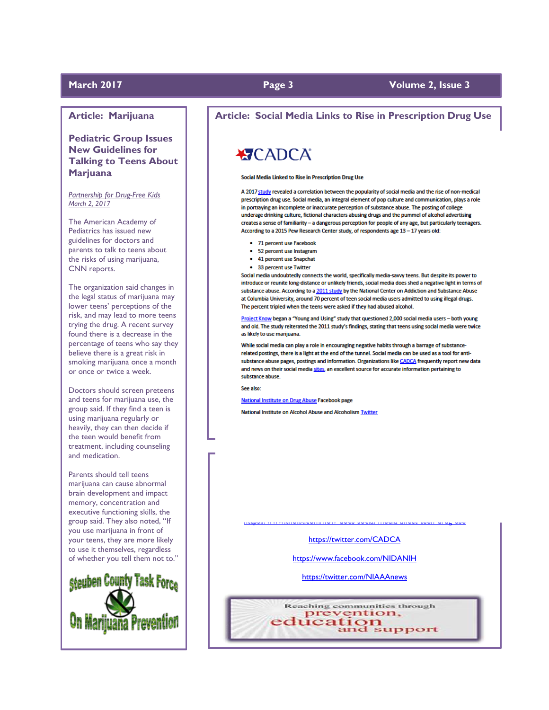# **Article: Marijuana**

**Pediatric Group Issues New Guidelines for Talking to Teens About Marjuana**

*Partnership for Drug-Free Kids March 2, 2017*

The American Academy of Pediatrics has issued new guidelines for doctors and parents to talk to teens about the risks of using marijuana, CNN reports.

The organization said changes in the legal status of marijuana may lower teens' perceptions of the risk, and may lead to more teens trying the drug. A recent survey found there is a decrease in the percentage of teens who say they believe there is a great risk in smoking marijuana once a month or once or twice a week.

Doctors should screen preteens and teens for marijuana use, the group said. If they find a teen is using marijuana regularly or heavily, they can then decide if the teen would benefit from treatment, including counseling and medication.

Parents should tell teens marijuana can cause abnormal brain development and impact memory, concentration and executive functioning skills, the group said. They also noted, "If you use marijuana in front of your teens, they are more likely to use it themselves, regardless of whether you tell them not to."



# **Article: Social Media Links to Rise in Prescription Drug Use**

# **XTCADCA**

### Social Media Linked to Rise in Prescription Drug Use

A 2017 study revealed a correlation between the popularity of social media and the rise of non-medical prescription drug use. Social media, an integral element of pop culture and communication, plays a role in portraying an incomplete or inaccurate perception of substance abuse. The posting of college underage drinking culture, fictional characters abusing drugs and the pummel of alcohol advertising creates a sense of familiarity - a dangerous perception for people of any age, but particularly teenagers. According to a 2015 Pew Research Center study, of respondents age 13 - 17 years old:

- 71 percent use Facebook
- 52 percent use Instagram
- 41 percent use Snapchat
- 33 percent use Twitter

Social media undoubtedly connects the world, specifically media-savvy teens. But despite its power to introduce or reunite long-distance or unlikely friends, social media does shed a negative light in terms of substance abuse. According to a 2011 study by the National Center on Addiction and Substance Abuse at Columbia University, around 70 percent of teen social media users admitted to using illegal drugs. The percent tripled when the teens were asked if they had abused alcohol.

Project Know began a "Young and Using" study that questioned 2,000 social media users - both young and old. The study reiterated the 2011 study's findings, stating that teens using social media were twice as likely to use marijuana.

While social media can play a role in encouraging negative habits through a barrage of substancerelated postings, there is a light at the end of the tunnel. Social media can be used as a tool for antisubstance abuse pages, postings and information. Organizations like CADCA frequently report new data and news on their social media sites, an excellent source for accurate information pertaining to substance abuse.

See also:

National Institute on Drug Abuse Facebook page

National Institute on Alcohol Abuse and Alcoholism Twitter

<https://twitter.com/CADCA>

<https://www.thefix.com/how-does-social-media-affect-teen-drug-use>

<https://www.facebook.com/NIDANIH>

<https://twitter.com/NIAAAnews>

Reaching communities through prevention, education<br>and support